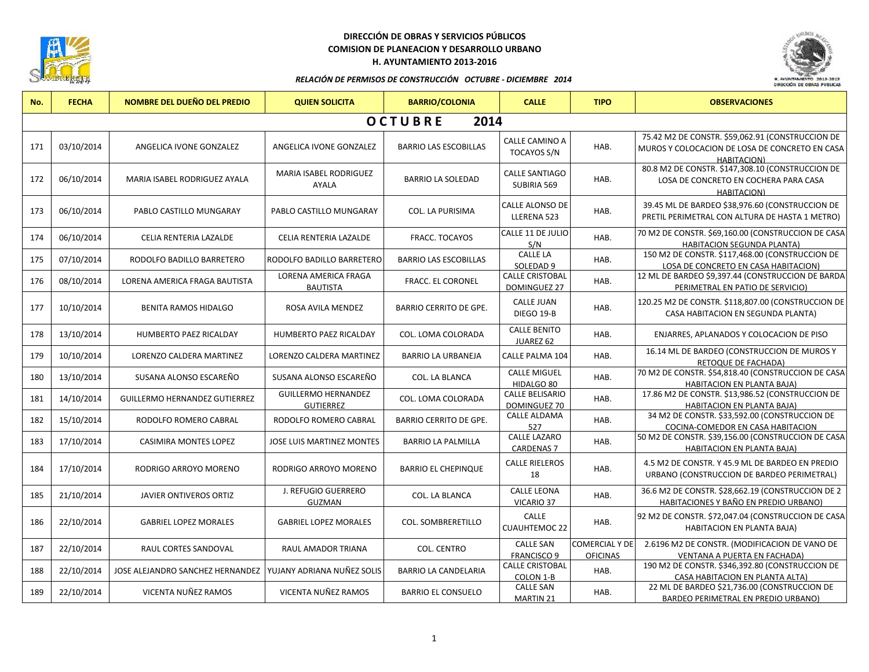

## **DIRECCIÓN DE OBRAS Y SERVICIOS PÚBLICOS COMISION DE PLANEACION Y DESARROLLO URBANO H. AYUNTAMIENTO 2013-2016**



#### *RELACIÓN DE PERMISOS DE CONSTRUCCIÓN OCTUBRE - DICIEMBRE 2014*

| No. | <b>FECHA</b>           | <b>NOMBRE DEL DUEÑO DEL PREDIO</b>                            | <b>QUIEN SOLICITA</b>                          | <b>BARRIO/COLONIA</b>         | <b>CALLE</b>                                  | <b>TIPO</b>                              | <b>OBSERVACIONES</b>                                                                                              |  |  |  |
|-----|------------------------|---------------------------------------------------------------|------------------------------------------------|-------------------------------|-----------------------------------------------|------------------------------------------|-------------------------------------------------------------------------------------------------------------------|--|--|--|
|     | <b>OCTUBRE</b><br>2014 |                                                               |                                                |                               |                                               |                                          |                                                                                                                   |  |  |  |
| 171 | 03/10/2014             | ANGELICA IVONE GONZALEZ                                       | ANGELICA IVONE GONZALEZ                        | <b>BARRIO LAS ESCOBILLAS</b>  | <b>CALLE CAMINO A</b><br><b>TOCAYOS S/N</b>   | HAB.                                     | 75.42 M2 DE CONSTR. \$59,062.91 (CONSTRUCCION DE<br>MUROS Y COLOCACION DE LOSA DE CONCRETO EN CASA<br>HABITACION) |  |  |  |
| 172 | 06/10/2014             | MARIA ISABEL RODRIGUEZ AYALA                                  | <b>MARIA ISABEL RODRIGUEZ</b><br>AYALA         | <b>BARRIO LA SOLEDAD</b>      | <b>CALLE SANTIAGO</b><br>SUBIRIA 569          | HAB.                                     | 80.8 M2 DE CONSTR. \$147,308.10 (CONSTRUCCION DE<br>LOSA DE CONCRETO EN COCHERA PARA CASA<br>HABITACION)          |  |  |  |
| 173 | 06/10/2014             | PABLO CASTILLO MUNGARAY                                       | PABLO CASTILLO MUNGARAY                        | <b>COL. LA PURISIMA</b>       | <b>CALLE ALONSO DE</b><br>LLERENA 523         | HAB.                                     | 39.45 ML DE BARDEO \$38,976.60 (CONSTRUCCION DE<br>PRETIL PERIMETRAL CON ALTURA DE HASTA 1 METRO)                 |  |  |  |
| 174 | 06/10/2014             | CELIA RENTERIA LAZALDE                                        | CELIA RENTERIA LAZALDE                         | FRACC. TOCAYOS                | CALLE 11 DE JULIO<br>S/N                      | HAB.                                     | 70 M2 DE CONSTR. \$69,160.00 (CONSTRUCCION DE CASA<br><b>HABITACION SEGUNDA PLANTA)</b>                           |  |  |  |
| 175 | 07/10/2014             | RODOLFO BADILLO BARRETERO                                     | RODOLFO BADILLO BARRETERO                      | <b>BARRIO LAS ESCOBILLAS</b>  | <b>CALLE LA</b><br>SOLEDAD 9                  | HAB.                                     | 150 M2 DE CONSTR. \$117,468.00 (CONSTRUCCION DE<br>LOSA DE CONCRETO EN CASA HABITACION)                           |  |  |  |
| 176 | 08/10/2014             | LORENA AMERICA FRAGA BAUTISTA                                 | <b>LORENA AMERICA FRAGA</b><br><b>BAUTISTA</b> | FRACC. EL CORONEL             | <b>CALLE CRISTOBAL</b><br><b>DOMINGUEZ 27</b> | HAB.                                     | 12 ML DE BARDEO \$9,397.44 (CONSTRUCCION DE BARDA<br>PERIMETRAL EN PATIO DE SERVICIO)                             |  |  |  |
| 177 | 10/10/2014             | <b>BENITA RAMOS HIDALGO</b>                                   | ROSA AVILA MENDEZ                              | <b>BARRIO CERRITO DE GPE.</b> | <b>CALLE JUAN</b><br>DIEGO 19-B               | HAB.                                     | 120.25 M2 DE CONSTR. \$118,807.00 (CONSTRUCCION DE<br>CASA HABITACION EN SEGUNDA PLANTA)                          |  |  |  |
| 178 | 13/10/2014             | <b>HUMBERTO PAEZ RICALDAY</b>                                 | <b>HUMBERTO PAEZ RICALDAY</b>                  | COL. LOMA COLORADA            | <b>CALLE BENITO</b><br>JUAREZ 62              | HAB.                                     | ENJARRES, APLANADOS Y COLOCACION DE PISO                                                                          |  |  |  |
| 179 | 10/10/2014             | LORENZO CALDERA MARTINEZ                                      | <b>LORENZO CALDERA MARTINEZ</b>                | <b>BARRIO LA URBANEJA</b>     | <b>CALLE PALMA 104</b>                        | HAB.                                     | 16.14 ML DE BARDEO (CONSTRUCCION DE MUROS Y<br>RETOQUE DE FACHADA)                                                |  |  |  |
| 180 | 13/10/2014             | SUSANA ALONSO ESCAREÑO                                        | SUSANA ALONSO ESCAREÑO                         | <b>COL. LA BLANCA</b>         | <b>CALLE MIGUEL</b><br>HIDALGO 80             | HAB.                                     | 70 M2 DE CONSTR. \$54,818.40 (CONSTRUCCION DE CASA<br>HABITACION EN PLANTA BAJA)                                  |  |  |  |
| 181 | 14/10/2014             | <b>GUILLERMO HERNANDEZ GUTIERREZ</b>                          | <b>GUILLERMO HERNANDEZ</b><br><b>GUTIERREZ</b> | COL. LOMA COLORADA            | <b>CALLE BELISARIO</b><br><b>DOMINGUEZ 70</b> | HAB.                                     | 17.86 M2 DE CONSTR. \$13,986.52 (CONSTRUCCION DE<br><b>HABITACION EN PLANTA BAJA)</b>                             |  |  |  |
| 182 | 15/10/2014             | RODOLFO ROMERO CABRAL                                         | RODOLFO ROMERO CABRAL                          | <b>BARRIO CERRITO DE GPE.</b> | CALLE ALDAMA<br>527                           | HAB.                                     | 34 M2 DE CONSTR. \$33,592.00 (CONSTRUCCION DE<br>COCINA-COMEDOR EN CASA HABITACION                                |  |  |  |
| 183 | 17/10/2014             | <b>CASIMIRA MONTES LOPEZ</b>                                  | <b>JOSE LUIS MARTINEZ MONTES</b>               | <b>BARRIO LA PALMILLA</b>     | <b>CALLE LAZARO</b><br><b>CARDENAS 7</b>      | HAB.                                     | 50 M2 DE CONSTR. \$39,156.00 (CONSTRUCCION DE CASA<br><b>HABITACION EN PLANTA BAJA)</b>                           |  |  |  |
| 184 | 17/10/2014             | RODRIGO ARROYO MORENO                                         | RODRIGO ARROYO MORENO                          | <b>BARRIO EL CHEPINQUE</b>    | <b>CALLE RIELEROS</b><br>18                   | HAB.                                     | 4.5 M2 DE CONSTR. Y 45.9 ML DE BARDEO EN PREDIO<br>URBANO (CONSTRUCCION DE BARDEO PERIMETRAL)                     |  |  |  |
| 185 | 21/10/2014             | JAVIER ONTIVEROS ORTIZ                                        | J. REFUGIO GUERRERO<br><b>GUZMAN</b>           | COL. LA BLANCA                | <b>CALLE LEONA</b><br>VICARIO 37              | HAB.                                     | 36.6 M2 DE CONSTR. \$28,662.19 (CONSTRUCCION DE 2<br>HABITACIONES Y BAÑO EN PREDIO URBANO)                        |  |  |  |
| 186 | 22/10/2014             | <b>GABRIEL LOPEZ MORALES</b>                                  | <b>GABRIEL LOPEZ MORALES</b>                   | <b>COL. SOMBRERETILLO</b>     | CALLE<br><b>CUAUHTEMOC 22</b>                 | HAB.                                     | 92 M2 DE CONSTR. \$72,047.04 (CONSTRUCCION DE CASA<br><b>HABITACION EN PLANTA BAJA)</b>                           |  |  |  |
| 187 | 22/10/2014             | RAUL CORTES SANDOVAL                                          | <b>RAUL AMADOR TRIANA</b>                      | <b>COL. CENTRO</b>            | <b>CALLE SAN</b><br><b>FRANCISCO 9</b>        | <b>COMERCIAL Y DE</b><br><b>OFICINAS</b> | 2.6196 M2 DE CONSTR. (MODIFICACION DE VANO DE<br><b>VENTANA A PUERTA EN FACHADA)</b>                              |  |  |  |
| 188 | 22/10/2014             | JOSE ALEJANDRO SANCHEZ HERNANDEZ   YUJANY ADRIANA NUÑEZ SOLIS |                                                | <b>BARRIO LA CANDELARIA</b>   | <b>CALLE CRISTOBAL</b><br>COLON 1-B           | HAB.                                     | 190 M2 DE CONSTR. \$346,392.80 (CONSTRUCCION DE<br>CASA HABITACION EN PLANTA ALTA)                                |  |  |  |
| 189 | 22/10/2014             | VICENTA NUÑEZ RAMOS                                           | VICENTA NUÑEZ RAMOS                            | <b>BARRIO EL CONSUELO</b>     | <b>CALLE SAN</b><br>MARTIN 21                 | HAB.                                     | 22 ML DE BARDEO \$21,736.00 (CONSTRUCCION DE<br>BARDEO PERIMETRAL EN PREDIO URBANO)                               |  |  |  |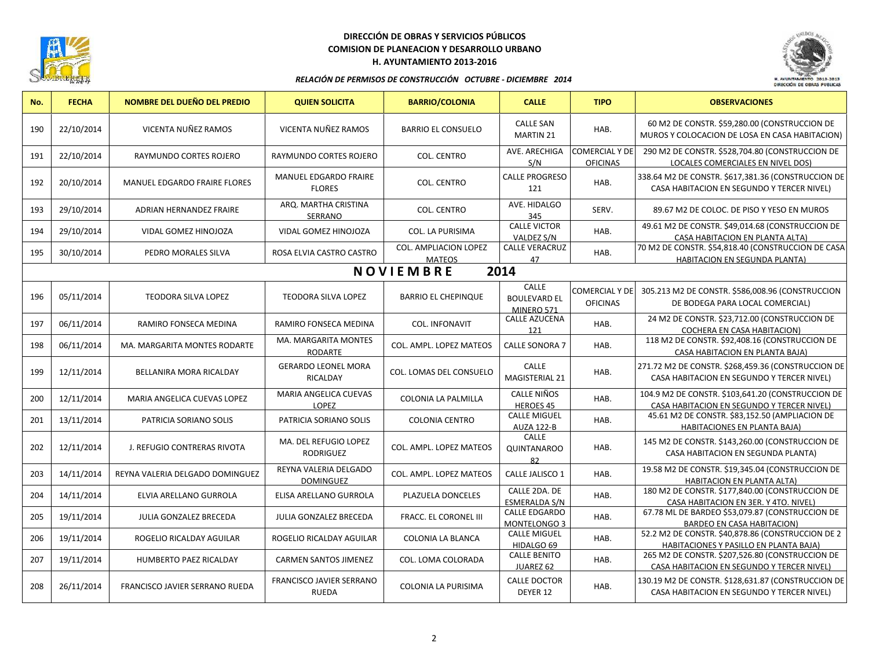

# **DIRECCIÓN DE OBRAS Y SERVICIOS PÚBLICOS COMISION DE PLANEACION Y DESARROLLO URBANO H. AYUNTAMIENTO 2013-2016**



#### *RELACIÓN DE PERMISOS DE CONSTRUCCIÓN OCTUBRE - DICIEMBRE 2014*

| No.                      | <b>FECHA</b> | NOMBRE DEL DUEÑO DEL PREDIO           | <b>QUIEN SOLICITA</b>                         | <b>BARRIO/COLONIA</b>                  | <b>CALLE</b>                               | <b>TIPO</b>                              | <b>OBSERVACIONES</b>                                                                             |  |
|--------------------------|--------------|---------------------------------------|-----------------------------------------------|----------------------------------------|--------------------------------------------|------------------------------------------|--------------------------------------------------------------------------------------------------|--|
| 190                      | 22/10/2014   | VICENTA NUÑEZ RAMOS                   | VICENTA NUÑEZ RAMOS                           | <b>BARRIO EL CONSUELO</b>              | <b>CALLE SAN</b><br><b>MARTIN 21</b>       | HAB.                                     | 60 M2 DE CONSTR. \$59,280.00 (CONSTRUCCION DE<br>MUROS Y COLOCACION DE LOSA EN CASA HABITACION)  |  |
| 191                      | 22/10/2014   | RAYMUNDO CORTES ROJERO                | RAYMUNDO CORTES ROJERO                        | <b>COL. CENTRO</b>                     | AVE. ARECHIGA<br>S/N                       | <b>COMERCIAL Y DE</b><br><b>OFICINAS</b> | 290 M2 DE CONSTR. \$528,704.80 (CONSTRUCCION DE<br>LOCALES COMERCIALES EN NIVEL DOS)             |  |
| 192                      | 20/10/2014   | <b>MANUEL EDGARDO FRAIRE FLORES</b>   | <b>MANUEL EDGARDO FRAIRE</b><br><b>FLORES</b> | <b>COL. CENTRO</b>                     | <b>CALLE PROGRESO</b><br>121               | HAB.                                     | 338.64 M2 DE CONSTR. \$617,381.36 (CONSTRUCCION DE<br>CASA HABITACION EN SEGUNDO Y TERCER NIVEL) |  |
| 193                      | 29/10/2014   | ADRIAN HERNANDEZ FRAIRE               | ARQ. MARTHA CRISTINA<br>SERRANO               | <b>COL. CENTRO</b>                     | AVE. HIDALGO<br>345                        | SERV.                                    | 89.67 M2 DE COLOC. DE PISO Y YESO EN MUROS                                                       |  |
| 194                      | 29/10/2014   | VIDAL GOMEZ HINOJOZA                  | VIDAL GOMEZ HINOJOZA                          | <b>COL. LA PURISIMA</b>                | <b>CALLE VICTOR</b><br>VALDEZ S/N          | HAB.                                     | 49.61 M2 DE CONSTR. \$49,014.68 (CONSTRUCCION DE<br>CASA HABITACION EN PLANTA ALTA)              |  |
| 195                      | 30/10/2014   | PEDRO MORALES SILVA                   | ROSA ELVIA CASTRO CASTRO                      | COL. AMPLIACION LOPEZ<br><b>MATEOS</b> | <b>CALLE VERACRUZ</b><br>47                | HAB.                                     | 70 M2 DE CONSTR. \$54,818.40 (CONSTRUCCION DE CASA<br>HABITACION EN SEGUNDA PLANTA)              |  |
| 2014<br><b>NOVIEMBRE</b> |              |                                       |                                               |                                        |                                            |                                          |                                                                                                  |  |
| 196                      | 05/11/2014   | <b>TEODORA SILVA LOPEZ</b>            | TEODORA SILVA LOPEZ                           | <b>BARRIO EL CHEPINQUE</b>             | CALLE<br><b>BOULEVARD EL</b><br>MINERO 571 | COMERCIAL Y DE<br><b>OFICINAS</b>        | 305.213 M2 DE CONSTR. \$586,008.96 (CONSTRUCCION<br>DE BODEGA PARA LOCAL COMERCIAL)              |  |
| 197                      | 06/11/2014   | RAMIRO FONSECA MEDINA                 | RAMIRO FONSECA MEDINA                         | <b>COL. INFONAVIT</b>                  | <b>CALLE AZUCENA</b><br>121                | HAB.                                     | 24 M2 DE CONSTR. \$23,712.00 (CONSTRUCCION DE<br><b>COCHERA EN CASA HABITACION)</b>              |  |
| 198                      | 06/11/2014   | MA. MARGARITA MONTES RODARTE          | <b>MA. MARGARITA MONTES</b><br>RODARTE        | COL. AMPL. LOPEZ MATEOS                | <b>CALLE SONORA 7</b>                      | HAB.                                     | 118 M2 DE CONSTR. \$92,408.16 (CONSTRUCCION DE<br>CASA HABITACION EN PLANTA BAJA)                |  |
| 199                      | 12/11/2014   | BELLANIRA MORA RICALDAY               | <b>GERARDO LEONEL MORA</b><br><b>RICALDAY</b> | COL. LOMAS DEL CONSUELO                | <b>CALLE</b><br><b>MAGISTERIAL 21</b>      | HAB.                                     | 271.72 M2 DE CONSTR. \$268,459.36 (CONSTRUCCION DE<br>CASA HABITACION EN SEGUNDO Y TERCER NIVEL) |  |
| 200                      | 12/11/2014   | MARIA ANGELICA CUEVAS LOPEZ           | MARIA ANGELICA CUEVAS<br>LOPEZ                | COLONIA LA PALMILLA                    | CALLE NIÑOS<br><b>HEROES 45</b>            | HAB.                                     | 104.9 M2 DE CONSTR. \$103,641.20 (CONSTRUCCION DE<br>CASA HABITACION EN SEGUNDO Y TERCER NIVEL)  |  |
| 201                      | 13/11/2014   | PATRICIA SORIANO SOLIS                | PATRICIA SORIANO SOLIS                        | <b>COLONIA CENTRO</b>                  | <b>CALLE MIGUEL</b><br><b>AUZA 122-B</b>   | HAB.                                     | 45.61 M2 DE CONSTR. \$83,152.50 (AMPLIACION DE<br><b>HABITACIONES EN PLANTA BAJA)</b>            |  |
| 202                      | 12/11/2014   | J. REFUGIO CONTRERAS RIVOTA           | MA. DEL REFUGIO LOPEZ<br>RODRIGUEZ            | COL. AMPL. LOPEZ MATEOS                | CALLE<br>QUINTANAROO<br>82                 | HAB.                                     | 145 M2 DE CONSTR. \$143,260.00 (CONSTRUCCION DE<br>CASA HABITACION EN SEGUNDA PLANTA)            |  |
| 203                      | 14/11/2014   | REYNA VALERIA DELGADO DOMINGUEZ       | REYNA VALERIA DELGADO<br><b>DOMINGUEZ</b>     | COL. AMPL. LOPEZ MATEOS                | CALLE JALISCO 1                            | HAB.                                     | 19.58 M2 DE CONSTR. \$19,345.04 (CONSTRUCCION DE<br>HABITACION EN PLANTA ALTA)                   |  |
| 204                      | 14/11/2014   | ELVIA ARELLANO GURROLA                | ELISA ARELLANO GURROLA                        | PLAZUELA DONCELES                      | CALLE 2DA. DE<br><b>ESMERALDA S/N</b>      | HAB.                                     | 180 M2 DE CONSTR. \$177,840.00 (CONSTRUCCION DE<br>CASA HABITACION EN 3ER. Y 4TO. NIVEL)         |  |
| 205                      | 19/11/2014   | JULIA GONZALEZ BRECEDA                | JULIA GONZALEZ BRECEDA                        | FRACC. EL CORONEL III                  | <b>CALLE EDGARDO</b><br>MONTELONGO 3       | HAB.                                     | 67.78 ML DE BARDEO \$53,079.87 (CONSTRUCCION DE<br><b>BARDEO EN CASA HABITACION)</b>             |  |
| 206                      | 19/11/2014   | ROGELIO RICALDAY AGUILAR              | ROGELIO RICALDAY AGUILAR                      | COLONIA LA BLANCA                      | <b>CALLE MIGUEL</b><br>HIDALGO 69          | HAB.                                     | 52.2 M2 DE CONSTR. \$40,878.86 (CONSTRUCCION DE 2<br>HABITACIONES Y PASILLO EN PLANTA BAJA)      |  |
| 207                      | 19/11/2014   | <b>HUMBERTO PAEZ RICALDAY</b>         | <b>CARMEN SANTOS JIMENEZ</b>                  | COL. LOMA COLORADA                     | <b>CALLE BENITO</b><br>JUAREZ 62           | HAB.                                     | 265 M2 DE CONSTR. \$207,526.80 (CONSTRUCCION DE<br>CASA HABITACION EN SEGUNDO Y TERCER NIVEL)    |  |
| 208                      | 26/11/2014   | <b>FRANCISCO JAVIER SERRANO RUEDA</b> | FRANCISCO JAVIER SERRANO<br><b>RUEDA</b>      | <b>COLONIA LA PURISIMA</b>             | <b>CALLE DOCTOR</b><br>DEYER 12            | HAB.                                     | 130.19 M2 DE CONSTR. \$128,631.87 (CONSTRUCCION DE<br>CASA HABITACION EN SEGUNDO Y TERCER NIVEL) |  |